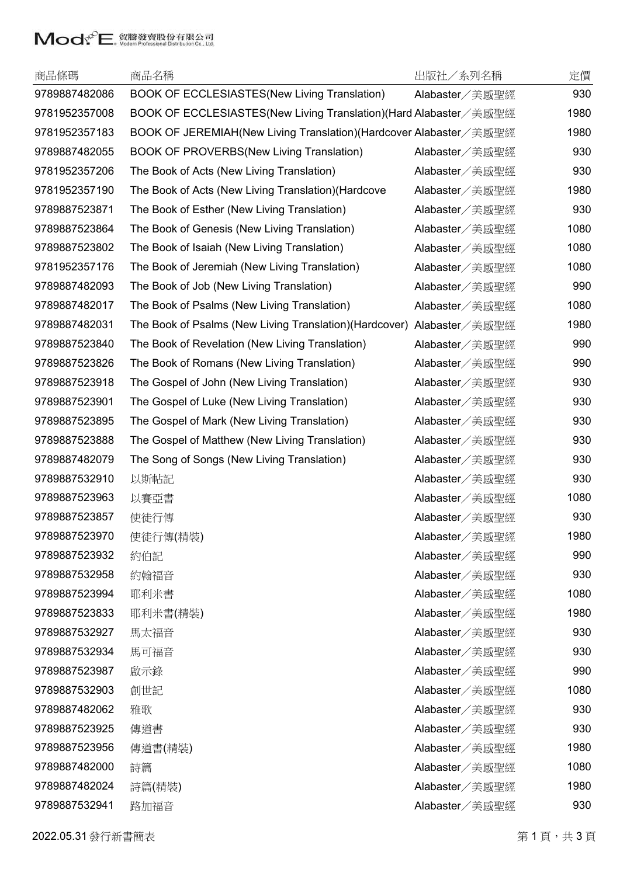## Mody<sup>C</sup>E. 貿騰發賣股份有限公司

| 商品條碼          | 商品名稱                                                              | 出版社/系列名稱       | 定價   |
|---------------|-------------------------------------------------------------------|----------------|------|
| 9789887482086 | BOOK OF ECCLESIASTES(New Living Translation)                      | Alabaster/美感聖經 | 930  |
| 9781952357008 | BOOK OF ECCLESIASTES(New Living Translation)(Hard Alabaster/美感聖經  |                | 1980 |
| 9781952357183 | BOOK OF JEREMIAH(New Living Translation)(Hardcover Alabaster/美感聖經 |                | 1980 |
| 9789887482055 | <b>BOOK OF PROVERBS(New Living Translation)</b>                   | Alabaster/美感聖經 | 930  |
| 9781952357206 | The Book of Acts (New Living Translation)                         | Alabaster/美感聖經 | 930  |
| 9781952357190 | The Book of Acts (New Living Translation)(Hardcove                | Alabaster/美感聖經 | 1980 |
| 9789887523871 | The Book of Esther (New Living Translation)                       | Alabaster/美感聖經 | 930  |
| 9789887523864 | The Book of Genesis (New Living Translation)                      | Alabaster/美感聖經 | 1080 |
| 9789887523802 | The Book of Isaiah (New Living Translation)                       | Alabaster/美感聖經 | 1080 |
| 9781952357176 | The Book of Jeremiah (New Living Translation)                     | Alabaster/美感聖經 | 1080 |
| 9789887482093 | The Book of Job (New Living Translation)                          | Alabaster/美感聖經 | 990  |
| 9789887482017 | The Book of Psalms (New Living Translation)                       | Alabaster/美感聖經 | 1080 |
| 9789887482031 | The Book of Psalms (New Living Translation) (Hardcover)           | Alabaster/美感聖經 | 1980 |
| 9789887523840 | The Book of Revelation (New Living Translation)                   | Alabaster/美感聖經 | 990  |
| 9789887523826 | The Book of Romans (New Living Translation)                       | Alabaster/美感聖經 | 990  |
| 9789887523918 | The Gospel of John (New Living Translation)                       | Alabaster/美感聖經 | 930  |
| 9789887523901 | The Gospel of Luke (New Living Translation)                       | Alabaster/美感聖經 | 930  |
| 9789887523895 | The Gospel of Mark (New Living Translation)                       | Alabaster/美感聖經 | 930  |
| 9789887523888 | The Gospel of Matthew (New Living Translation)                    | Alabaster/美感聖經 | 930  |
| 9789887482079 | The Song of Songs (New Living Translation)                        | Alabaster/美感聖經 | 930  |
| 9789887532910 | 以斯帖記                                                              | Alabaster/美感聖經 | 930  |
| 9789887523963 | 以賽亞書                                                              | Alabaster/美感聖經 | 1080 |
| 9789887523857 | 使徒行傳                                                              | Alabaster/美感聖經 | 930  |
| 9789887523970 | 使徒行傳(精裝)                                                          | Alabaster/美感聖經 | 1980 |
| 9789887523932 | 約伯記                                                               | Alabaster/美感聖經 | 990  |
| 9789887532958 | 約翰福音                                                              | Alabaster/美感聖經 | 930  |
| 9789887523994 | 耶利米書                                                              | Alabaster/美感聖經 | 1080 |
| 9789887523833 | 耶利米書(精裝)                                                          | Alabaster/美感聖經 | 1980 |
| 9789887532927 | 馬太福音                                                              | Alabaster/美感聖經 | 930  |
| 9789887532934 | 馬可福音                                                              | Alabaster/美感聖經 | 930  |
| 9789887523987 | 啟示錄                                                               | Alabaster/美感聖經 | 990  |
| 9789887532903 | 創世記                                                               | Alabaster/美感聖經 | 1080 |
| 9789887482062 | 雅歌                                                                | Alabaster/美感聖經 | 930  |
| 9789887523925 | 傳道書                                                               | Alabaster/美感聖經 | 930  |
| 9789887523956 | 傳道書(精裝)                                                           | Alabaster/美感聖經 | 1980 |
| 9789887482000 | 詩篇                                                                | Alabaster/美感聖經 | 1080 |
| 9789887482024 | 詩篇(精裝)                                                            | Alabaster/美感聖經 | 1980 |
| 9789887532941 | 路加福音                                                              | Alabaster/美感聖經 | 930  |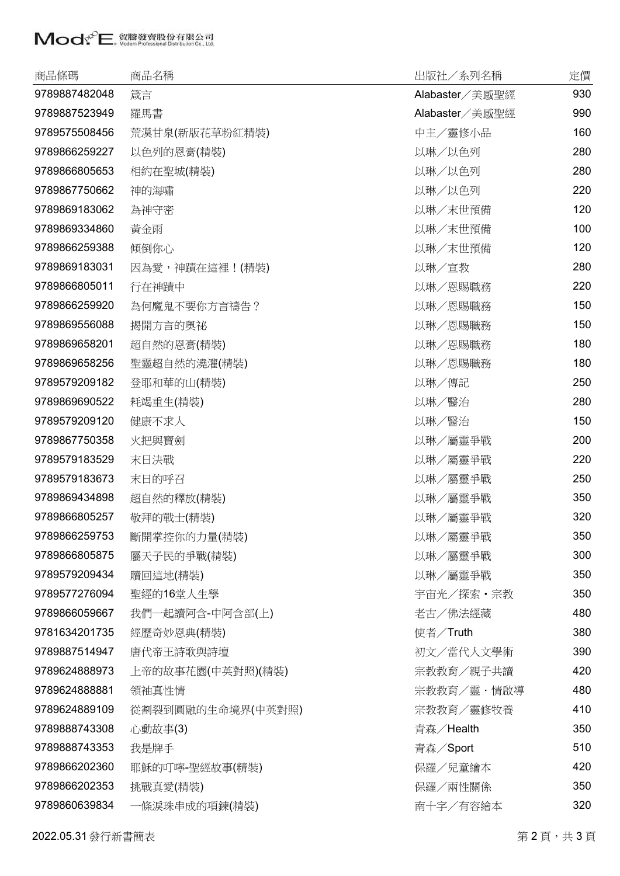## Moder Professional Distribution Co. [1]

| 商品條碼          | 商品名稱              | 出版社/系列名稱       | 定價  |
|---------------|-------------------|----------------|-----|
| 9789887482048 | 箴言                | Alabaster/美感聖經 | 930 |
| 9789887523949 | 羅馬書               | Alabaster/美感聖經 | 990 |
| 9789575508456 | 荒漠甘泉(新版花草粉紅精裝)    | 中主/靈修小品        | 160 |
| 9789866259227 | 以色列的恩膏(精裝)        | 以琳/以色列         | 280 |
| 9789866805653 | 相約在聖城(精裝)         | 以琳/以色列         | 280 |
| 9789867750662 | 神的海嘯              | 以琳/以色列         | 220 |
| 9789869183062 | 為神守密              | 以琳/末世預備        | 120 |
| 9789869334860 | 黃金雨               | 以琳/末世預備        | 100 |
| 9789866259388 | 傾倒你心              | 以琳/末世預備        | 120 |
| 9789869183031 | 因為愛,神蹟在這裡!(精裝)    | 以琳/宣教          | 280 |
| 9789866805011 | 行在神蹟中             | 以琳/恩賜職務        | 220 |
| 9789866259920 | 為何魔鬼不要你方言禱告?      | 以琳/恩賜職務        | 150 |
| 9789869556088 | 揭開方言的奧祕           | 以琳/恩賜職務        | 150 |
| 9789869658201 | 超自然的恩膏(精裝)        | 以琳/恩賜職務        | 180 |
| 9789869658256 | 聖靈超自然的澆灌(精裝)      | 以琳/恩賜職務        | 180 |
| 9789579209182 | 登耶和華的山(精裝)        | 以琳/傳記          | 250 |
| 9789869690522 | 耗竭重生(精裝)          | 以琳/醫治          | 280 |
| 9789579209120 | 健康不求人             | 以琳/醫治          | 150 |
| 9789867750358 | 火把與寶劍             | 以琳/屬靈爭戰        | 200 |
| 9789579183529 | 末日決戰              | 以琳/屬靈爭戰        | 220 |
| 9789579183673 | 末日的呼召             | 以琳/屬靈爭戰        | 250 |
| 9789869434898 | 超自然的釋放(精裝)        | 以琳/屬靈爭戰        | 350 |
| 9789866805257 | 敬拜的戰士(精裝)         | 以琳/屬靈爭戰        | 320 |
| 9789866259753 | 斷開掌控你的力量(精裝)      | 以琳/屬靈爭戰        | 350 |
| 9789866805875 | 屬天子民的爭戰(精裝)       | 以琳/屬靈爭戰        | 300 |
| 9789579209434 | 贖回這地(精裝)          | 以琳/屬靈爭戰        | 350 |
| 9789577276094 | 聖經的16堂人生學         | 宇宙光/探索・宗教      | 350 |
| 9789866059667 | 我們一起讀阿含-中阿含部(上)   | 老古/佛法經藏        | 480 |
| 9781634201735 | 經歷奇妙恩典(精裝)        | 使者/Truth       | 380 |
| 9789887514947 | 唐代帝王詩歌與詩壇         | 初文/當代人文學術      | 390 |
| 9789624888973 | 上帝的故事花園(中英對照)(精裝) | 宗教教育/親子共讀      | 420 |
| 9789624888881 | 領袖真性情             | 宗教教育/靈・情啟導     | 480 |
| 9789624889109 | 從割裂到圓融的生命境界(中英對照) | 宗教教育/靈修牧養      | 410 |
| 9789888743308 | 心動故事(3)           | 青森/Health      | 350 |
| 9789888743353 | 我是牌手              | 青森/Sport       | 510 |
| 9789866202360 | 耶穌的叮嚀-聖經故事(精裝)    | 保羅/兒童繪本        | 420 |
| 9789866202353 | 挑戰真愛(精裝)          | 保羅/兩性關係        | 350 |
| 9789860639834 | 一條淚珠串成的項鍊(精裝)     | 南十字/有容繪本       | 320 |